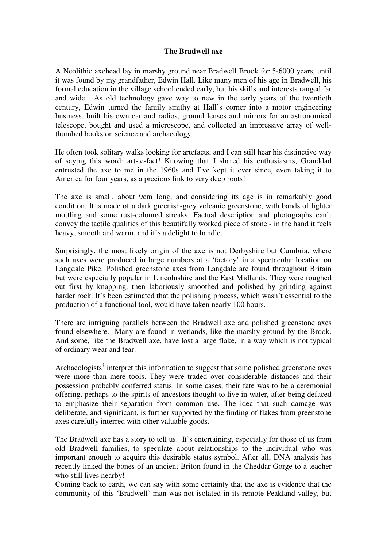## **The Bradwell axe**

A Neolithic axehead lay in marshy ground near Bradwell Brook for 5-6000 years, until it was found by my grandfather, Edwin Hall. Like many men of his age in Bradwell, his formal education in the village school ended early, but his skills and interests ranged far and wide. As old technology gave way to new in the early years of the twentieth century, Edwin turned the family smithy at Hall's corner into a motor engineering business, built his own car and radios, ground lenses and mirrors for an astronomical telescope, bought and used a microscope, and collected an impressive array of wellthumbed books on science and archaeology.

He often took solitary walks looking for artefacts, and I can still hear his distinctive way of saying this word: art-te-fact! Knowing that I shared his enthusiasms, Granddad entrusted the axe to me in the 1960s and I've kept it ever since, even taking it to America for four years, as a precious link to very deep roots!

The axe is small, about 9cm long, and considering its age is in remarkably good condition. It is made of a dark greenish-grey volcanic greenstone, with bands of lighter mottling and some rust-coloured streaks. Factual description and photographs can't convey the tactile qualities of this beautifully worked piece of stone - in the hand it feels heavy, smooth and warm, and it's a delight to handle.

Surprisingly, the most likely origin of the axe is not Derbyshire but Cumbria, where such axes were produced in large numbers at a 'factory' in a spectacular location on Langdale Pike. Polished greenstone axes from Langdale are found throughout Britain but were especially popular in Lincolnshire and the East Midlands. They were roughed out first by knapping, then laboriously smoothed and polished by grinding against harder rock. It's been estimated that the polishing process, which wasn't essential to the production of a functional tool, would have taken nearly 100 hours.

There are intriguing parallels between the Bradwell axe and polished greenstone axes found elsewhere. Many are found in wetlands, like the marshy ground by the Brook. And some, like the Bradwell axe, have lost a large flake, in a way which is not typical of ordinary wear and tear.

Archaeologists<sup>†</sup> interpret this information to suggest that some polished greenstone axes were more than mere tools. They were traded over considerable distances and their possession probably conferred status. In some cases, their fate was to be a ceremonial offering, perhaps to the spirits of ancestors thought to live in water, after being defaced to emphasize their separation from common use. The idea that such damage was deliberate, and significant, is further supported by the finding of flakes from greenstone axes carefully interred with other valuable goods.

The Bradwell axe has a story to tell us. It's entertaining, especially for those of us from old Bradwell families, to speculate about relationships to the individual who was important enough to acquire this desirable status symbol. After all, DNA analysis has recently linked the bones of an ancient Briton found in the Cheddar Gorge to a teacher who still lives nearby!

Coming back to earth, we can say with some certainty that the axe is evidence that the community of this 'Bradwell' man was not isolated in its remote Peakland valley, but